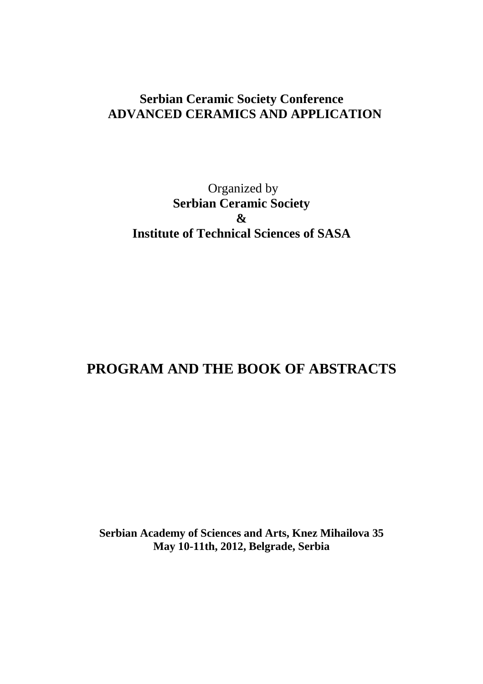## **Serbian Ceramic Society Conference ADVANCED CERAMICS AND APPLICATION**

# Organized by **Serbian Ceramic Society & Institute of Technical Sciences of SASA**

# **PROGRAM AND THE BOOK OF ABSTRACTS**

**Serbian Academy of Sciences and Arts, Knez Mihailova 35 May 10-11th, 2012, Belgrade, Serbia**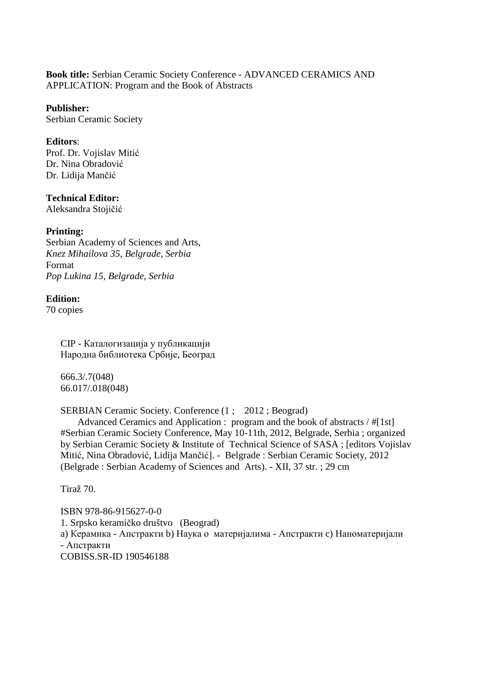#### **Book title:** Serbian Ceramic Society Conference - ADVANCED CERAMICS AND APPLICATION: Program and the Book of Abstracts

#### **Publisher:**

Serbian Ceramic Society

#### **Editors**:

Prof. Dr. Vojislav Mitić Dr. Nina Obradović Dr. Lidija Mančić

#### **Technical Editor:**

Aleksandra Stojičić

#### **Printing:**

Serbian Academy of Sciences and Arts, *Knez Mihailova 35, Belgrade, Serbia*  Format *Pop Lukina 15, Belgrade, Serbia* 

#### **Edition:**

70 copies

CIP - Каталогизација у публикацији Народна библиотека Србије, Београд

666.3/.7(048) 66.017/.018(048)

SERBIAN Ceramic Society. Conference (1 ; 2012 ; Beograd)

 Advanced Ceramics and Application : program and the book of abstracts / #[1st] #Serbian Ceramic Society Conference, May 10-11th, 2012, Belgrade, Serbia ; organized by Serbian Ceramic Society & Institute of Technical Science of SASA ; [editors Vojislav Mitić, Nina Obradović, Lidija Mančić]. - Belgrade : Serbian Ceramic Society, 2012 (Belgrade : Serbian Academy of Sciences and Arts). - XII, 37 str. ; 29 cm

Tiraž 70.

ISBN 978-86-915627-0-0 1. Srpsko keramičko društvo (Beograd) a) Керамика - Апстракти b) Наука о материјалима - Апстракти c) Наноматеријали - Апстракти COBISS.SR-ID 190546188